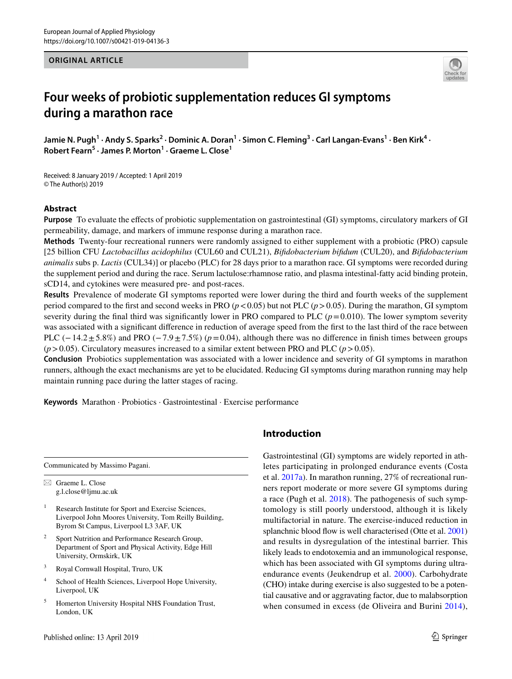## **ORIGINAL ARTICLE**



# **Four weeks of probiotic supplementation reduces GI symptoms during a marathon race**

Jamie N. Pugh<sup>1</sup> · Andy S. Sparks<sup>2</sup> · Dominic A. Doran<sup>1</sup> · Simon C. Fleming<sup>3</sup> · Carl Langan-Evans<sup>1</sup> · Ben Kirk<sup>4</sup> · **Robert Fearn5 · James P. Morton1 · Graeme L. Close1**

Received: 8 January 2019 / Accepted: 1 April 2019 © The Author(s) 2019

## **Abstract**

**Purpose** To evaluate the efects of probiotic supplementation on gastrointestinal (GI) symptoms, circulatory markers of GI permeability, damage, and markers of immune response during a marathon race.

**Methods** Twenty-four recreational runners were randomly assigned to either supplement with a probiotic (PRO) capsule [25 billion CFU *Lactobacillus acidophilus* (CUL60 and CUL21), *Bifdobacterium bifdum* (CUL20), and *Bifdobacterium animalis* subs p. *Lactis* (CUL34)] or placebo (PLC) for 28 days prior to a marathon race. GI symptoms were recorded during the supplement period and during the race. Serum lactulose:rhamnose ratio, and plasma intestinal-fatty acid binding protein, sCD14, and cytokines were measured pre- and post-races.

**Results** Prevalence of moderate GI symptoms reported were lower during the third and fourth weeks of the supplement period compared to the first and second weeks in PRO  $(p < 0.05)$  but not PLC  $(p > 0.05)$ . During the marathon, GI symptom severity during the final third was significantly lower in PRO compared to PLC  $(p=0.010)$ . The lower symptom severity was associated with a signifcant diference in reduction of average speed from the frst to the last third of the race between PLC (−14.2±5.8%) and PRO (−7.9±7.5%) (*p*=0.04), although there was no difference in finish times between groups  $(p>0.05)$ . Circulatory measures increased to a similar extent between PRO and PLC  $(p>0.05)$ .

**Conclusion** Probiotics supplementation was associated with a lower incidence and severity of GI symptoms in marathon runners, although the exact mechanisms are yet to be elucidated. Reducing GI symptoms during marathon running may help maintain running pace during the latter stages of racing.

**Keywords** Marathon · Probiotics · Gastrointestinal · Exercise performance

Communicated by Massimo Pagani.  $\boxtimes$  Graeme L. Close

g.l.close@ljmu.ac.uk

- <sup>1</sup> Research Institute for Sport and Exercise Sciences, Liverpool John Moores University, Tom Reilly Building, Byrom St Campus, Liverpool L3 3AF, UK
- Sport Nutrition and Performance Research Group, Department of Sport and Physical Activity, Edge Hill University, Ormskirk, UK
- <sup>3</sup> Royal Cornwall Hospital, Truro, UK
- <sup>4</sup> School of Health Sciences, Liverpool Hope University, Liverpool, UK
- <sup>5</sup> Homerton University Hospital NHS Foundation Trust, London, UK

## **Introduction**

Gastrointestinal (GI) symptoms are widely reported in athletes participating in prolonged endurance events (Costa et al. [2017a](#page-9-0)). In marathon running, 27% of recreational runners report moderate or more severe GI symptoms during a race (Pugh et al. [2018\)](#page-10-0). The pathogenesis of such symptomology is still poorly understood, although it is likely multifactorial in nature. The exercise-induced reduction in splanchnic blood flow is well characterised (Otte et al. [2001\)](#page-10-1) and results in dysregulation of the intestinal barrier. This likely leads to endotoxemia and an immunological response, which has been associated with GI symptoms during ultraendurance events (Jeukendrup et al. [2000](#page-9-1)). Carbohydrate (CHO) intake during exercise is also suggested to be a potential causative and or aggravating factor, due to malabsorption when consumed in excess (de Oliveira and Burini [2014](#page-9-2)),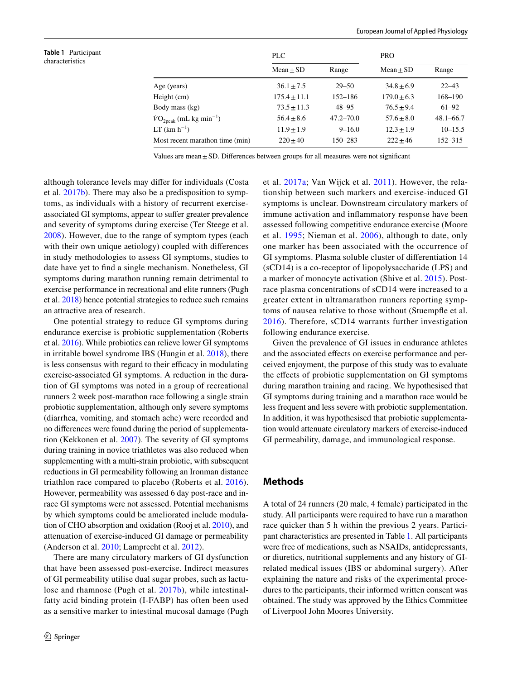<span id="page-1-0"></span>**Table 1** Participant characteristics

|                                                      | PLC              |               | <b>PRO</b>      |               |  |
|------------------------------------------------------|------------------|---------------|-----------------|---------------|--|
|                                                      | $Mean \pm SD$    | Range         | $Mean \pm SD$   | Range         |  |
| Age (years)                                          | $36.1 \pm 7.5$   | $29 - 50$     | $34.8 \pm 6.9$  | $22 - 43$     |  |
| Height (cm)                                          | $175.4 \pm 11.1$ | 152–186       | $179.0 \pm 6.3$ | 168-190       |  |
| Body mass (kg)                                       | $73.5 \pm 11.3$  | $48 - 95$     | $76.5 \pm 9.4$  | $61 - 92$     |  |
| $\dot{V}O_{2\text{peak}}$ (mL kg min <sup>-1</sup> ) | $56.4 + 8.6$     | $47.2 - 70.0$ | $57.6 \pm 8.0$  | $48.1 - 66.7$ |  |
| $LT$ (km $h^{-1}$ )                                  | $11.9 \pm 1.9$   | $9 - 16.0$    | $12.3 \pm 1.9$  | $10 - 15.5$   |  |
| Most recent marathon time (min)                      | $220 + 40$       | 150–283       | $222 \pm 46$    | 152–315       |  |

Values are mean $\pm$ SD. Differences between groups for all measures were not significant

although tolerance levels may difer for individuals (Costa et al. [2017b](#page-9-3)). There may also be a predisposition to symptoms, as individuals with a history of recurrent exerciseassociated GI symptoms, appear to sufer greater prevalence and severity of symptoms during exercise (Ter Steege et al. [2008](#page-10-2)). However, due to the range of symptom types (each with their own unique aetiology) coupled with diferences in study methodologies to assess GI symptoms, studies to date have yet to fnd a single mechanism. Nonetheless, GI symptoms during marathon running remain detrimental to exercise performance in recreational and elite runners (Pugh et al. [2018\)](#page-10-0) hence potential strategies to reduce such remains an attractive area of research.

One potential strategy to reduce GI symptoms during endurance exercise is probiotic supplementation (Roberts et al. [2016\)](#page-10-3). While probiotics can relieve lower GI symptoms in irritable bowel syndrome IBS (Hungin et al. [2018\)](#page-9-4), there is less consensus with regard to their efficacy in modulating exercise-associated GI symptoms. A reduction in the duration of GI symptoms was noted in a group of recreational runners 2 week post-marathon race following a single strain probiotic supplementation, although only severe symptoms (diarrhea, vomiting, and stomach ache) were recorded and no diferences were found during the period of supplementation (Kekkonen et al. [2007](#page-9-5)). The severity of GI symptoms during training in novice triathletes was also reduced when supplementing with a multi-strain probiotic, with subsequent reductions in GI permeability following an Ironman distance triathlon race compared to placebo (Roberts et al. [2016](#page-10-3)). However, permeability was assessed 6 day post-race and inrace GI symptoms were not assessed. Potential mechanisms by which symptoms could be ameliorated include modulation of CHO absorption and oxidation (Rooj et al. [2010\)](#page-10-4), and attenuation of exercise-induced GI damage or permeability (Anderson et al. [2010](#page-9-6); Lamprecht et al. [2012\)](#page-9-7).

There are many circulatory markers of GI dysfunction that have been assessed post-exercise. Indirect measures of GI permeability utilise dual sugar probes, such as lactulose and rhamnose (Pugh et al. [2017b](#page-10-5)), while intestinalfatty acid binding protein (I-FABP) has often been used as a sensitive marker to intestinal mucosal damage (Pugh et al. [2017a](#page-10-6); Van Wijck et al. [2011\)](#page-10-7). However, the relationship between such markers and exercise-induced GI symptoms is unclear. Downstream circulatory markers of immune activation and infammatory response have been assessed following competitive endurance exercise (Moore et al. [1995;](#page-10-8) Nieman et al. [2006](#page-10-9)), although to date, only one marker has been associated with the occurrence of GI symptoms. Plasma soluble cluster of diferentiation 14 (sCD14) is a co-receptor of lipopolysaccharide (LPS) and a marker of monocyte activation (Shive et al. [2015\)](#page-10-10). Postrace plasma concentrations of sCD14 were increased to a greater extent in ultramarathon runners reporting symptoms of nausea relative to those without (Stuempfe et al. [2016](#page-10-11)). Therefore, sCD14 warrants further investigation following endurance exercise.

Given the prevalence of GI issues in endurance athletes and the associated effects on exercise performance and perceived enjoyment, the purpose of this study was to evaluate the efects of probiotic supplementation on GI symptoms during marathon training and racing. We hypothesised that GI symptoms during training and a marathon race would be less frequent and less severe with probiotic supplementation. In addition, it was hypothesised that probiotic supplementation would attenuate circulatory markers of exercise-induced GI permeability, damage, and immunological response.

## **Methods**

A total of 24 runners (20 male, 4 female) participated in the study. All participants were required to have run a marathon race quicker than 5 h within the previous 2 years. Participant characteristics are presented in Table [1](#page-1-0). All participants were free of medications, such as NSAIDs, antidepressants, or diuretics, nutritional supplements and any history of GIrelated medical issues (IBS or abdominal surgery). After explaining the nature and risks of the experimental procedures to the participants, their informed written consent was obtained. The study was approved by the Ethics Committee of Liverpool John Moores University.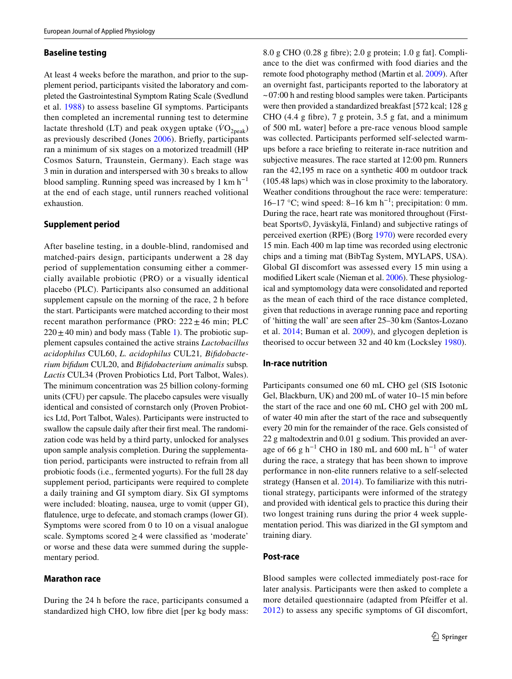#### **Baseline testing**

At least 4 weeks before the marathon, and prior to the supplement period, participants visited the laboratory and completed the Gastrointestinal Symptom Rating Scale (Svedlund et al. [1988](#page-10-12)) to assess baseline GI symptoms. Participants then completed an incremental running test to determine lactate threshold (LT) and peak oxygen uptake  $(\dot{V}O_{2\text{peak}})$ as previously described (Jones [2006](#page-9-8)). Briefy, participants ran a minimum of six stages on a motorized treadmill (HP Cosmos Saturn, Traunstein, Germany). Each stage was 3 min in duration and interspersed with 30 s breaks to allow blood sampling. Running speed was increased by 1 km  $h^{-1}$ at the end of each stage, until runners reached volitional exhaustion.

## **Supplement period**

After baseline testing, in a double-blind, randomised and matched-pairs design, participants underwent a 28 day period of supplementation consuming either a commercially available probiotic (PRO) or a visually identical placebo (PLC). Participants also consumed an additional supplement capsule on the morning of the race, 2 h before the start. Participants were matched according to their most recent marathon performance (PRO:  $222 \pm 46$  min; PLC  $220 \pm 40$  min) and body mass (Table [1](#page-1-0)). The probiotic supplement capsules contained the active strains *Lactobacillus acidophilus* CUL60, *L. acidophilus* CUL21*, Bifdobacterium bifdum* CUL20, and *Bifdobacterium animalis* subsp*. Lactis* CUL34 (Proven Probiotics Ltd, Port Talbot, Wales). The minimum concentration was 25 billion colony-forming units (CFU) per capsule. The placebo capsules were visually identical and consisted of cornstarch only (Proven Probiotics Ltd, Port Talbot, Wales). Participants were instructed to swallow the capsule daily after their frst meal. The randomization code was held by a third party, unlocked for analyses upon sample analysis completion. During the supplementation period, participants were instructed to refrain from all probiotic foods (i.e., fermented yogurts). For the full 28 day supplement period, participants were required to complete a daily training and GI symptom diary. Six GI symptoms were included: bloating, nausea, urge to vomit (upper GI), fatulence, urge to defecate, and stomach cramps (lower GI). Symptoms were scored from 0 to 10 on a visual analogue scale. Symptoms scored  $\geq$  4 were classified as 'moderate' or worse and these data were summed during the supplementary period.

#### **Marathon race**

During the 24 h before the race, participants consumed a standardized high CHO, low fbre diet [per kg body mass: 8.0 g CHO (0.28 g fbre); 2.0 g protein; 1.0 g fat]. Compliance to the diet was confrmed with food diaries and the remote food photography method (Martin et al. [2009](#page-10-13)). After an overnight fast, participants reported to the laboratory at  $\sim$  07:00 h and resting blood samples were taken. Participants were then provided a standardized breakfast [572 kcal; 128 g CHO (4.4 g fibre),  $7 \text{ g}$  protein,  $3.5 \text{ g}$  fat, and a minimum of 500 mL water] before a pre-race venous blood sample was collected. Participants performed self-selected warmups before a race briefng to reiterate in-race nutrition and subjective measures. The race started at 12:00 pm. Runners ran the 42,195 m race on a synthetic 400 m outdoor track (105.48 laps) which was in close proximity to the laboratory. Weather conditions throughout the race were: temperature: 16–17 °C; wind speed: 8–16 km h<sup>-1</sup>; precipitation: 0 mm. During the race, heart rate was monitored throughout (Firstbeat Sports©, Jyväskylä, Finland) and subjective ratings of perceived exertion (RPE) (Borg [1970\)](#page-9-9) were recorded every 15 min. Each 400 m lap time was recorded using electronic chips and a timing mat (BibTag System, MYLAPS, USA). Global GI discomfort was assessed every 15 min using a modifed Likert scale (Nieman et al. [2006\)](#page-10-9). These physiological and symptomology data were consolidated and reported as the mean of each third of the race distance completed, given that reductions in average running pace and reporting of 'hitting the wall' are seen after 25–30 km (Santos-Lozano et al. [2014](#page-10-14); Buman et al. [2009\)](#page-9-10), and glycogen depletion is theorised to occur between 32 and 40 km (Locksley [1980\)](#page-9-11).

#### **In‑race nutrition**

Participants consumed one 60 mL CHO gel (SIS Isotonic Gel, Blackburn, UK) and 200 mL of water 10–15 min before the start of the race and one 60 mL CHO gel with 200 mL of water 40 min after the start of the race and subsequently every 20 min for the remainder of the race. Gels consisted of 22 g maltodextrin and 0.01 g sodium. This provided an average of 66 g h<sup>-1</sup> CHO in 180 mL and 600 mL h<sup>-1</sup> of water during the race, a strategy that has been shown to improve performance in non-elite runners relative to a self-selected strategy (Hansen et al. [2014\)](#page-9-12). To familiarize with this nutritional strategy, participants were informed of the strategy and provided with identical gels to practice this during their two longest training runs during the prior 4 week supplementation period. This was diarized in the GI symptom and training diary.

#### **Post‑race**

Blood samples were collected immediately post-race for later analysis. Participants were then asked to complete a more detailed questionnaire (adapted from Pfeifer et al. [2012\)](#page-10-15) to assess any specifc symptoms of GI discomfort,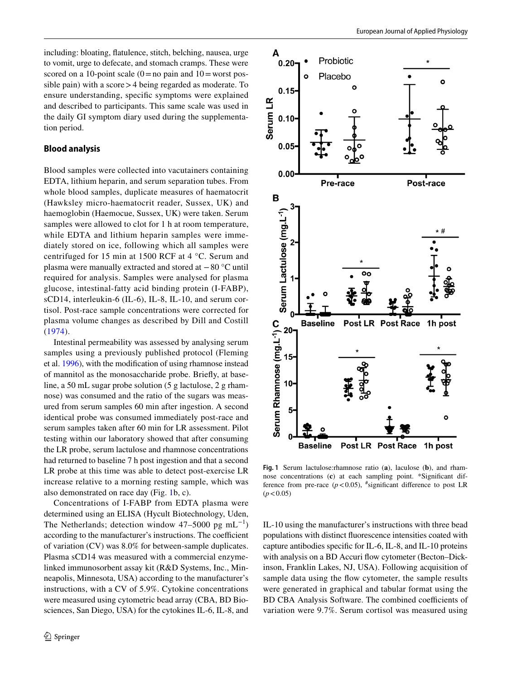including: bloating, fatulence, stitch, belching, nausea, urge to vomit, urge to defecate, and stomach cramps. These were scored on a 10-point scale  $(0=$  no pain and  $10=$  worst possible pain) with a score > 4 being regarded as moderate. To ensure understanding, specifc symptoms were explained and described to participants. This same scale was used in the daily GI symptom diary used during the supplementation period.

## **Blood analysis**

Blood samples were collected into vacutainers containing EDTA, lithium heparin, and serum separation tubes. From whole blood samples, duplicate measures of haematocrit (Hawksley micro-haematocrit reader, Sussex, UK) and haemoglobin (Haemocue, Sussex, UK) were taken. Serum samples were allowed to clot for 1 h at room temperature, while EDTA and lithium heparin samples were immediately stored on ice, following which all samples were centrifuged for 15 min at 1500 RCF at 4 °C. Serum and plasma were manually extracted and stored at −80 °C until required for analysis. Samples were analysed for plasma glucose, intestinal-fatty acid binding protein (I-FABP), sCD14, interleukin-6 (IL-6), IL-8, IL-10, and serum cortisol. Post-race sample concentrations were corrected for plasma volume changes as described by Dill and Costill ([1974](#page-9-13)).

Intestinal permeability was assessed by analysing serum samples using a previously published protocol (Fleming et al. [1996\)](#page-9-14), with the modifcation of using rhamnose instead of mannitol as the monosaccharide probe. Briefy, at baseline, a 50 mL sugar probe solution (5 g lactulose, 2 g rhamnose) was consumed and the ratio of the sugars was measured from serum samples 60 min after ingestion. A second identical probe was consumed immediately post-race and serum samples taken after 60 min for LR assessment. Pilot testing within our laboratory showed that after consuming the LR probe, serum lactulose and rhamnose concentrations had returned to baseline 7 h post ingestion and that a second LR probe at this time was able to detect post-exercise LR increase relative to a morning resting sample, which was also demonstrated on race day (Fig. [1b](#page-3-0), c).

Concentrations of I-FABP from EDTA plasma were determined using an ELISA (Hycult Biotechnology, Uden, The Netherlands; detection window 47–5000 pg mL<sup>-1</sup>) according to the manufacturer's instructions. The coefficient of variation (CV) was 8.0% for between-sample duplicates. Plasma sCD14 was measured with a commercial enzymelinked immunosorbent assay kit (R&D Systems, Inc., Minneapolis, Minnesota, USA) according to the manufacturer's instructions, with a CV of 5.9%. Cytokine concentrations were measured using cytometric bead array (CBA, BD Biosciences, San Diego, USA) for the cytokines IL-6, IL-8, and



<span id="page-3-0"></span>**Fig. 1** Serum lactulose:rhamnose ratio (**a**), laculose (**b**), and rhamnose concentrations (**c**) at each sampling point. \*Signifcant difference from pre-race  $(p < 0.05)$ , "significant difference to post LR  $(p < 0.05)$ 

IL-10 using the manufacturer's instructions with three bead populations with distinct fuorescence intensities coated with capture antibodies specifc for IL-6, IL-8, and IL-10 proteins with analysis on a BD Accuri flow cytometer (Becton–Dickinson, Franklin Lakes, NJ, USA). Following acquisition of sample data using the flow cytometer, the sample results were generated in graphical and tabular format using the BD CBA Analysis Software. The combined coefficients of variation were 9.7%. Serum cortisol was measured using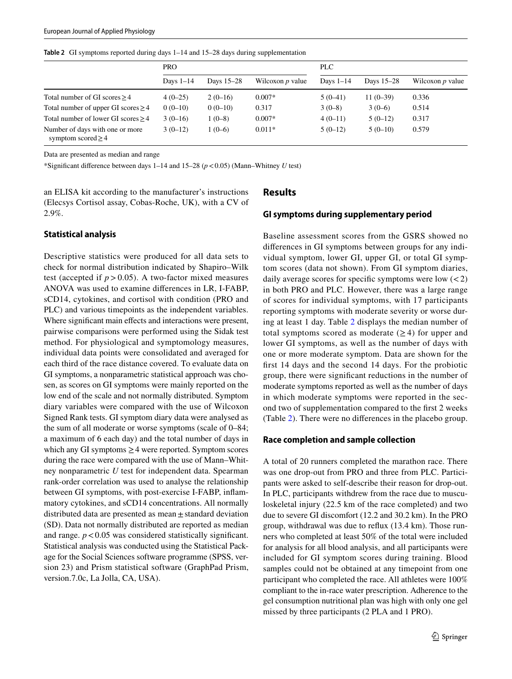<span id="page-4-0"></span>**Table 2** GI symptoms reported during days 1–14 and 15–28 days during supplementation

|                                                            | <b>PRO</b>  |            | <b>PLC</b>         |             |            |                    |
|------------------------------------------------------------|-------------|------------|--------------------|-------------|------------|--------------------|
|                                                            | Days $1-14$ | Days 15–28 | Wilcoxon $p$ value | Days $1-14$ | Days 15–28 | Wilcoxon $p$ value |
| Total number of GI scores $\geq$ 4                         | $4(0-25)$   | $2(0-16)$  | $0.007*$           | $5(0-41)$   | $11(0-39)$ | 0.336              |
| Total number of upper GI scores $\geq$ 4                   | $0(0-10)$   | $0(0-10)$  | 0.317              | $3(0-8)$    | $3(0-6)$   | 0.514              |
| Total number of lower GI scores $\geq$ 4                   | $3(0-16)$   | $1(0-8)$   | $0.007*$           | $4(0-11)$   | $5(0-12)$  | 0.317              |
| Number of days with one or more<br>symptom scored $\geq$ 4 | $3(0-12)$   | $1(0-6)$   | $0.011*$           | $5(0-12)$   | $5(0-10)$  | 0.579              |

Data are presented as median and range

\*Signifcant diference between days 1–14 and 15–28 (*p*<0.05) (Mann–Whitney *U* test)

an ELISA kit according to the manufacturer's instructions (Elecsys Cortisol assay, Cobas-Roche, UK), with a CV of 2.9%.

#### **Statistical analysis**

Descriptive statistics were produced for all data sets to check for normal distribution indicated by Shapiro–Wilk test (accepted if  $p > 0.05$ ). A two-factor mixed measures ANOVA was used to examine diferences in LR, I-FABP, sCD14, cytokines, and cortisol with condition (PRO and PLC) and various timepoints as the independent variables. Where significant main effects and interactions were present, pairwise comparisons were performed using the Sidak test method. For physiological and symptomology measures, individual data points were consolidated and averaged for each third of the race distance covered. To evaluate data on GI symptoms, a nonparametric statistical approach was chosen, as scores on GI symptoms were mainly reported on the low end of the scale and not normally distributed. Symptom diary variables were compared with the use of Wilcoxon Signed Rank tests. GI symptom diary data were analysed as the sum of all moderate or worse symptoms (scale of 0–84; a maximum of 6 each day) and the total number of days in which any GI symptoms  $\geq$  4 were reported. Symptom scores during the race were compared with the use of Mann–Whitney nonparametric *U* test for independent data. Spearman rank-order correlation was used to analyse the relationship between GI symptoms, with post-exercise I-FABP, infammatory cytokines, and sCD14 concentrations. All normally distributed data are presented as mean $\pm$ standard deviation (SD). Data not normally distributed are reported as median and range.  $p < 0.05$  was considered statistically significant. Statistical analysis was conducted using the Statistical Package for the Social Sciences software programme (SPSS, version 23) and Prism statistical software (GraphPad Prism, version.7.0c, La Jolla, CA, USA).

## **Results**

## **GI symptoms during supplementary period**

Baseline assessment scores from the GSRS showed no diferences in GI symptoms between groups for any individual symptom, lower GI, upper GI, or total GI symptom scores (data not shown). From GI symptom diaries, daily average scores for specific symptoms were low  $(< 2)$ in both PRO and PLC. However, there was a large range of scores for individual symptoms, with 17 participants reporting symptoms with moderate severity or worse during at least 1 day. Table [2](#page-4-0) displays the median number of total symptoms scored as moderate  $(\geq 4)$  for upper and lower GI symptoms, as well as the number of days with one or more moderate symptom. Data are shown for the frst 14 days and the second 14 days. For the probiotic group, there were signifcant reductions in the number of moderate symptoms reported as well as the number of days in which moderate symptoms were reported in the second two of supplementation compared to the frst 2 weeks (Table [2](#page-4-0)). There were no diferences in the placebo group.

#### **Race completion and sample collection**

A total of 20 runners completed the marathon race. There was one drop-out from PRO and three from PLC. Participants were asked to self-describe their reason for drop-out. In PLC, participants withdrew from the race due to musculoskeletal injury (22.5 km of the race completed) and two due to severe GI discomfort (12.2 and 30.2 km). In the PRO group, withdrawal was due to refux (13.4 km). Those runners who completed at least 50% of the total were included for analysis for all blood analysis, and all participants were included for GI symptom scores during training. Blood samples could not be obtained at any timepoint from one participant who completed the race. All athletes were 100% compliant to the in-race water prescription. Adherence to the gel consumption nutritional plan was high with only one gel missed by three participants (2 PLA and 1 PRO).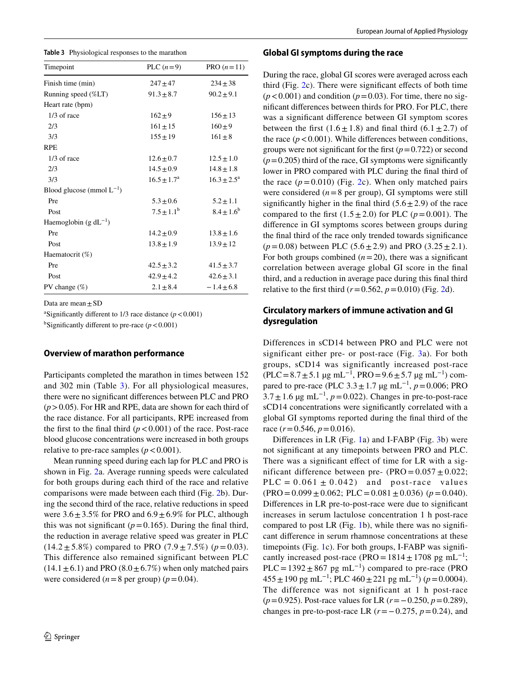<span id="page-5-0"></span>

| Timepoint                      | PLC $(n=9)$            | PRO $(n=11)$           |
|--------------------------------|------------------------|------------------------|
| Finish time (min)              | $247 + 47$             | $234 \pm 38$           |
| Running speed (%LT)            | $91.3 \pm 8.7$         | $90.2 \pm 9.1$         |
| Heart rate (bpm)               |                        |                        |
| $1/3$ of race                  | $162 + 9$              | $156 \pm 13$           |
| 2/3                            | $161 \pm 15$           | $160 + 9$              |
| 3/3                            | $155 \pm 19$           | $161 \pm 8$            |
| <b>RPE</b>                     |                        |                        |
| $1/3$ of race                  | $12.6 \pm 0.7$         | $12.5 \pm 1.0$         |
| 2/3                            | $14.5 \pm 0.9$         | $14.8 \pm 1.8$         |
| 3/3                            | $16.5 \pm 1.7^{\rm a}$ | $16.3 \pm 2.5^{\circ}$ |
| Blood glucose (mmol $L^{-1}$ ) |                        |                        |
| Pre                            | $5.3 + 0.6$            | $5.2 \pm 1.1$          |
| Post                           | $7.5 + 1.1^b$          | $8.4 \pm 1.6^b$        |
| Haemoglobin (g $dL^{-1}$ )     |                        |                        |
| Pre                            | $14.2 \pm 0.9$         | $13.8 \pm 1.6$         |
| Post                           | $13.8 \pm 1.9$         | $13.9 \pm 12$          |
| Haematocrit $(\%)$             |                        |                        |
| Pre                            | $42.5 \pm 3.2$         | $41.5 \pm 3.7$         |
| Post                           | $42.9 \pm 4.2$         | $42.6 \pm 3.1$         |
| PV change $(\%)$               | $2.1 \pm 8.4$          | $-1.4 + 6.8$           |

Data are mean  $\pm$  SD

<sup>a</sup>Significantly different to  $1/3$  race distance ( $p < 0.001$ )

<sup>b</sup>Significantly different to pre-race  $(p < 0.001)$ 

#### **Overview of marathon performance**

Participants completed the marathon in times between 152 and 302 min (Table [3\)](#page-5-0). For all physiological measures, there were no signifcant diferences between PLC and PRO (*p*>0.05). For HR and RPE, data are shown for each third of the race distance. For all participants, RPE increased from the first to the final third  $(p < 0.001)$  of the race. Post-race blood glucose concentrations were increased in both groups relative to pre-race samples  $(p < 0.001)$ .

Mean running speed during each lap for PLC and PRO is shown in Fig. [2a](#page-6-0). Average running speeds were calculated for both groups during each third of the race and relative comparisons were made between each third (Fig. [2b](#page-6-0)). During the second third of the race, relative reductions in speed were  $3.6 \pm 3.5\%$  for PRO and  $6.9 \pm 6.9\%$  for PLC, although this was not significant  $(p=0.165)$ . During the final third, the reduction in average relative speed was greater in PLC  $(14.2 \pm 5.8\%)$  compared to PRO  $(7.9 \pm 7.5\%)$  ( $p = 0.03$ ). This difference also remained significant between PLC  $(14.1 \pm 6.1)$  and PRO  $(8.0 \pm 6.7%)$  when only matched pairs were considered  $(n=8$  per group)  $(p=0.04)$ .

#### **Global GI symptoms during the race**

During the race, global GI scores were averaged across each third (Fig.  $2c$  $2c$ ). There were significant effects of both time  $(p<0.001)$  and condition  $(p=0.03)$ . For time, there no signifcant diferences between thirds for PRO. For PLC, there was a signifcant diference between GI symptom scores between the first  $(1.6 \pm 1.8)$  and final third  $(6.1 \pm 2.7)$  of the race  $(p < 0.001)$ . While differences between conditions, groups were not significant for the first  $(p=0.722)$  or second  $(p=0.205)$  third of the race, GI symptoms were significantly lower in PRO compared with PLC during the fnal third of the race  $(p=0.010)$  (Fig. [2](#page-6-0)c). When only matched pairs were considered  $(n=8$  per group), GI symptoms were still significantly higher in the final third  $(5.6 \pm 2.9)$  of the race compared to the first  $(1.5 \pm 2.0)$  for PLC ( $p = 0.001$ ). The diference in GI symptoms scores between groups during the fnal third of the race only trended towards signifcance  $(p=0.08)$  between PLC  $(5.6 \pm 2.9)$  and PRO  $(3.25 \pm 2.1)$ . For both groups combined  $(n=20)$ , there was a significant correlation between average global GI score in the fnal third, and a reduction in average pace during this fnal third relative to the first third  $(r=0.562, p=0.010)$  (Fig. [2](#page-6-0)d).

## **Circulatory markers of immune activation and GI dysregulation**

Differences in sCD14 between PRO and PLC were not significant either pre- or post-race (Fig. [3a](#page-6-1)). For both groups, sCD14 was significantly increased post-race  $(PLC=8.7\pm5.1 \text{ µg m}L^{-1}, PRO=9.6\pm5.7 \text{ µg m}L^{-1})$  compared to pre-race (PLC 3.3±1.7 µg mL−1, *p*=0.006; PRO  $3.7 \pm 1.6$  µg mL<sup>-1</sup>,  $p = 0.022$ ). Changes in pre-to-post-race sCD14 concentrations were significantly correlated with a global GI symptoms reported during the fnal third of the race  $(r=0.546, p=0.016)$ .

Diferences in LR (Fig. [1](#page-3-0)a) and I-FABP (Fig. [3](#page-6-1)b) were not signifcant at any timepoints between PRO and PLC. There was a significant effect of time for LR with a significant difference between pre-  $(PRO = 0.057 \pm 0.022)$ ;  $PLC = 0.061 \pm 0.042$  and post-race values  $(PRO = 0.099 \pm 0.062$ ;  $PLC = 0.081 \pm 0.036$ ) ( $p = 0.040$ ). Diferences in LR pre-to-post-race were due to signifcant increases in serum lactulose concentration 1 h post-race compared to post LR (Fig. [1](#page-3-0)b), while there was no signifcant diference in serum rhamnose concentrations at these timepoints (Fig. [1c](#page-3-0)). For both groups, I-FABP was signifcantly increased post-race (PRO =  $1814 \pm 1708$  pg mL<sup>-1</sup>; PLC =  $1392 \pm 867$  pg mL<sup>-1</sup>) compared to pre-race (PRO 455±190 pg mL−1; PLC 460±221 pg mL−1) (*p*=0.0004). The difference was not significant at 1 h post-race (*p*=0.925). Post-race values for LR (*r*=−0.250, *p*=0.289), changes in pre-to-post-race LR  $(r=-0.275, p=0.24)$ , and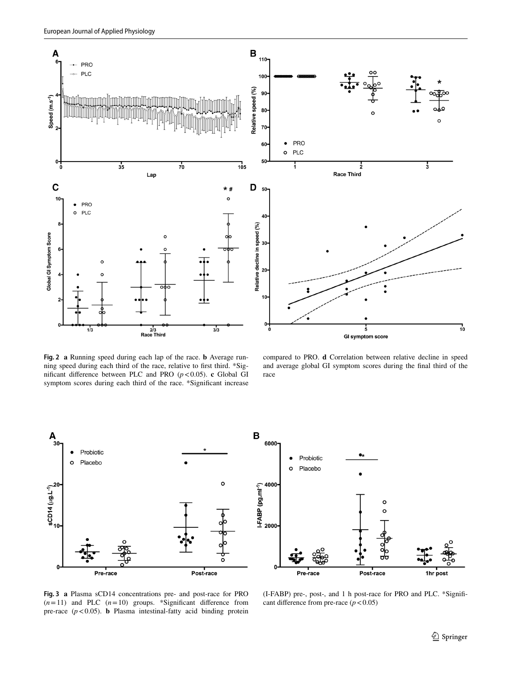

<span id="page-6-0"></span>**Fig. 2 a** Running speed during each lap of the race. **b** Average running speed during each third of the race, relative to frst third. \*Signifcant diference between PLC and PRO (*p*<0.05). **c** Global GI symptom scores during each third of the race. \*Signifcant increase

compared to PRO. **d** Correlation between relative decline in speed and average global GI symptom scores during the fnal third of the race



<span id="page-6-1"></span>**Fig. 3 a** Plasma sCD14 concentrations pre- and post-race for PRO  $(n=11)$  and PLC  $(n=10)$  groups. \*Significant difference from pre-race  $(p < 0.05)$ . **b** Plasma intestinal-fatty acid binding protein

(I-FABP) pre-, post-, and 1 h post-race for PRO and PLC. \*Signifcant difference from pre-race  $(p < 0.05)$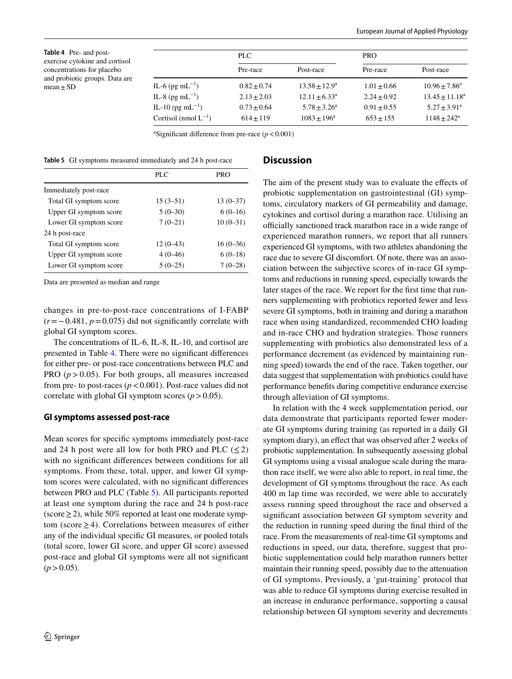<span id="page-7-0"></span>**Table 4** Pre- and postexercise cytokine and cortisol concentrations for placebo and probiotic groups. Data are  $mean + SD$ 

|                              | PLC.          |                  |               | <b>PRO</b>        |  |
|------------------------------|---------------|------------------|---------------|-------------------|--|
|                              | Pre-race      | Post-race        | Pre-race      | Post-race         |  |
| IL-6 (pg mL <sup>-1</sup> )  | $0.82 + 0.74$ | $13.58 + 12.9^a$ | $1.01 + 0.66$ | $10.96 + 7.86^a$  |  |
| IL-8 (pg mL <sup>-1</sup> )  | $2.13 + 2.03$ | $12.11 + 6.33a$  | $2.24 + 0.92$ | $13.45 + 11.18^a$ |  |
| IL-10 (pg mL <sup>-1</sup> ) | $0.73 + 0.64$ | $5.78 + 3.26^a$  | $0.91 + 0.55$ | $5.27 + 3.91^a$   |  |
| Cortisol (nmol $L^{-1}$ )    | $614 + 119$   | $1083 + 196^a$   | $653 + 155$   | $1148 + 242^a$    |  |

<sup>a</sup>Significant difference from pre-race  $(p < 0.001)$ 

<span id="page-7-1"></span>**Table 5** GI symptoms measured immediately and 24 h post-race

|                        | PLC        | <b>PRO</b> |
|------------------------|------------|------------|
| Immediately post-race  |            |            |
| Total GI symptom score | $15(3-51)$ | $13(0-37)$ |
| Upper GI symptom score | $5(0-30)$  | $6(0-16)$  |
| Lower GI symptom score | $7(0-21)$  | $10(0-31)$ |
| 24 h post-race         |            |            |
| Total GI symptom score | $12(0-43)$ | $16(0-36)$ |
| Upper GI symptom score | $4(0-46)$  | $6(0-18)$  |
| Lower GI symptom score | $5(0-25)$  | $7(0-28)$  |

Data are presented as median and range

changes in pre-to-post-race concentrations of I-FABP (*r*=−0.481, *p*=0.075) did not signifcantly correlate with global GI symptom scores.

The concentrations of IL-6, IL-8, IL-10, and cortisol are presented in Table [4](#page-7-0). There were no signifcant diferences for either pre- or post-race concentrations between PLC and PRO  $(p > 0.05)$ . For both groups, all measures increased from pre- to post-races  $(p < 0.001)$ . Post-race values did not correlate with global GI symptom scores  $(p > 0.05)$ .

#### **GI symptoms assessed post‑race**

Mean scores for specifc symptoms immediately post-race and 24 h post were all low for both PRO and PLC  $(\leq 2)$ with no significant differences between conditions for all symptoms. From these, total, upper, and lower GI symptom scores were calculated, with no signifcant diferences between PRO and PLC (Table [5](#page-7-1)). All participants reported at least one symptom during the race and 24 h post-race (score≥2), while 50% reported at least one moderate symptom (score≥4). Correlations between measures of either any of the individual specifc GI measures, or pooled totals (total score, lower GI score, and upper GI score) assessed post-race and global GI symptoms were all not signifcant  $(p>0.05)$ .

#### **Discussion**

The aim of the present study was to evaluate the efects of probiotic supplementation on gastrointestinal (GI) symptoms, circulatory markers of GI permeability and damage, cytokines and cortisol during a marathon race. Utilising an officially sanctioned track marathon race in a wide range of experienced marathon runners, we report that all runners experienced GI symptoms, with two athletes abandoning the race due to severe GI discomfort. Of note, there was an association between the subjective scores of in-race GI symptoms and reductions in running speed, especially towards the later stages of the race. We report for the frst time that runners supplementing with probiotics reported fewer and less severe GI symptoms, both in training and during a marathon race when using standardized, recommended CHO loading and in-race CHO and hydration strategies. Those runners supplementing with probiotics also demonstrated less of a performance decrement (as evidenced by maintaining running speed) towards the end of the race. Taken together, our data suggest that supplementation with probiotics could have performance benefts during competitive endurance exercise through alleviation of GI symptoms.

In relation with the 4 week supplementation period, our data demonstrate that participants reported fewer moderate GI symptoms during training (as reported in a daily GI symptom diary), an effect that was observed after 2 weeks of probiotic supplementation. In subsequently assessing global GI symptoms using a visual analogue scale during the marathon race itself, we were also able to report, in real time, the development of GI symptoms throughout the race. As each 400 m lap time was recorded, we were able to accurately assess running speed throughout the race and observed a signifcant association between GI symptom severity and the reduction in running speed during the fnal third of the race. From the measurements of real-time GI symptoms and reductions in speed, our data, therefore, suggest that probiotic supplementation could help marathon runners better maintain their running speed, possibly due to the attenuation of GI symptoms. Previously, a 'gut-training' protocol that was able to reduce GI symptoms during exercise resulted in an increase in endurance performance, supporting a causal relationship between GI symptom severity and decrements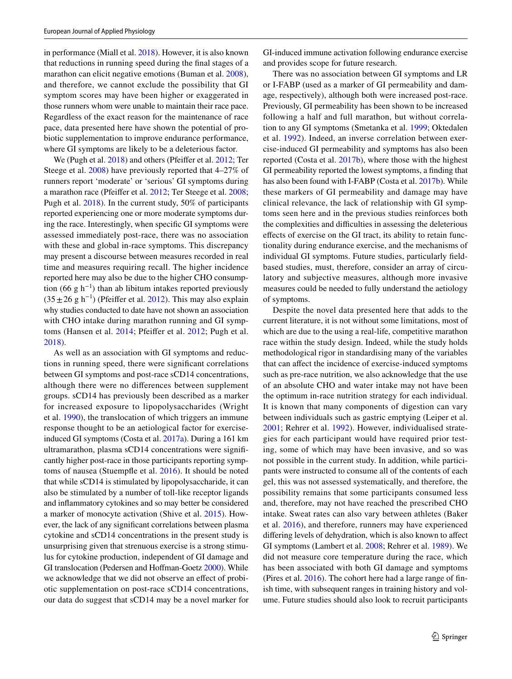in performance (Miall et al. [2018](#page-10-16)). However, it is also known that reductions in running speed during the fnal stages of a marathon can elicit negative emotions (Buman et al. [2008](#page-9-15)), and therefore, we cannot exclude the possibility that GI symptom scores may have been higher or exaggerated in those runners whom were unable to maintain their race pace. Regardless of the exact reason for the maintenance of race pace, data presented here have shown the potential of probiotic supplementation to improve endurance performance, where GI symptoms are likely to be a deleterious factor.

We (Pugh et al. [2018](#page-10-0)) and others (Pfeifer et al. [2012;](#page-10-15) Ter Steege et al. [2008](#page-10-2)) have previously reported that 4–27% of runners report 'moderate' or 'serious' GI symptoms during a marathon race (Pfeifer et al. [2012;](#page-10-15) Ter Steege et al. [2008](#page-10-2); Pugh et al. [2018](#page-10-0)). In the current study, 50% of participants reported experiencing one or more moderate symptoms during the race. Interestingly, when specifc GI symptoms were assessed immediately post-race, there was no association with these and global in-race symptoms. This discrepancy may present a discourse between measures recorded in real time and measures requiring recall. The higher incidence reported here may also be due to the higher CHO consumption (66 g h<sup>-1</sup>) than ab libitum intakes reported previously  $(35±26 g h<sup>-1</sup>)$  (Pfeiffer et al. [2012](#page-10-15)). This may also explain why studies conducted to date have not shown an association with CHO intake during marathon running and GI symptoms (Hansen et al. [2014](#page-9-12); Pfeifer et al. [2012;](#page-10-15) Pugh et al. [2018](#page-10-0)).

As well as an association with GI symptoms and reductions in running speed, there were signifcant correlations between GI symptoms and post-race sCD14 concentrations, although there were no diferences between supplement groups. sCD14 has previously been described as a marker for increased exposure to lipopolysaccharides (Wright et al. [1990\)](#page-10-17), the translocation of which triggers an immune response thought to be an aetiological factor for exerciseinduced GI symptoms (Costa et al. [2017a](#page-9-0)). During a 161 km ultramarathon, plasma sCD14 concentrations were signifcantly higher post-race in those participants reporting symptoms of nausea (Stuempfe et al. [2016](#page-10-11)). It should be noted that while sCD14 is stimulated by lipopolysaccharide, it can also be stimulated by a number of toll-like receptor ligands and infammatory cytokines and so may better be considered a marker of monocyte activation (Shive et al. [2015\)](#page-10-10). However, the lack of any signifcant correlations between plasma cytokine and sCD14 concentrations in the present study is unsurprising given that strenuous exercise is a strong stimulus for cytokine production, independent of GI damage and GI translocation (Pedersen and Hoffman-Goetz [2000\)](#page-10-18). While we acknowledge that we did not observe an efect of probiotic supplementation on post-race sCD14 concentrations, our data do suggest that sCD14 may be a novel marker for GI-induced immune activation following endurance exercise and provides scope for future research.

There was no association between GI symptoms and LR or I-FABP (used as a marker of GI permeability and damage, respectively), although both were increased post-race. Previously, GI permeability has been shown to be increased following a half and full marathon, but without correlation to any GI symptoms (Smetanka et al. [1999](#page-10-19); Oktedalen et al. [1992](#page-10-20)). Indeed, an inverse correlation between exercise-induced GI permeability and symptoms has also been reported (Costa et al. [2017b](#page-9-3)), where those with the highest GI permeability reported the lowest symptoms, a fnding that has also been found with I-FABP (Costa et al. [2017b](#page-9-3)). While these markers of GI permeability and damage may have clinical relevance, the lack of relationship with GI symptoms seen here and in the previous studies reinforces both the complexities and difficulties in assessing the deleterious efects of exercise on the GI tract, its ability to retain functionality during endurance exercise, and the mechanisms of individual GI symptoms. Future studies, particularly feldbased studies, must, therefore, consider an array of circulatory and subjective measures, although more invasive measures could be needed to fully understand the aetiology of symptoms.

Despite the novel data presented here that adds to the current literature, it is not without some limitations, most of which are due to the using a real-life, competitive marathon race within the study design. Indeed, while the study holds methodological rigor in standardising many of the variables that can afect the incidence of exercise-induced symptoms such as pre-race nutrition, we also acknowledge that the use of an absolute CHO and water intake may not have been the optimum in-race nutrition strategy for each individual. It is known that many components of digestion can vary between individuals such as gastric emptying (Leiper et al. [2001;](#page-9-16) Rehrer et al. [1992\)](#page-10-21). However, individualised strategies for each participant would have required prior testing, some of which may have been invasive, and so was not possible in the current study. In addition, while participants were instructed to consume all of the contents of each gel, this was not assessed systematically, and therefore, the possibility remains that some participants consumed less and, therefore, may not have reached the prescribed CHO intake. Sweat rates can also vary between athletes (Baker et al. [2016\)](#page-9-17), and therefore, runners may have experienced difering levels of dehydration, which is also known to afect GI symptoms (Lambert et al. [2008](#page-9-18); Rehrer et al. [1989\)](#page-10-22). We did not measure core temperature during the race, which has been associated with both GI damage and symptoms (Pires et al. [2016](#page-10-23)). The cohort here had a large range of fnish time, with subsequent ranges in training history and volume. Future studies should also look to recruit participants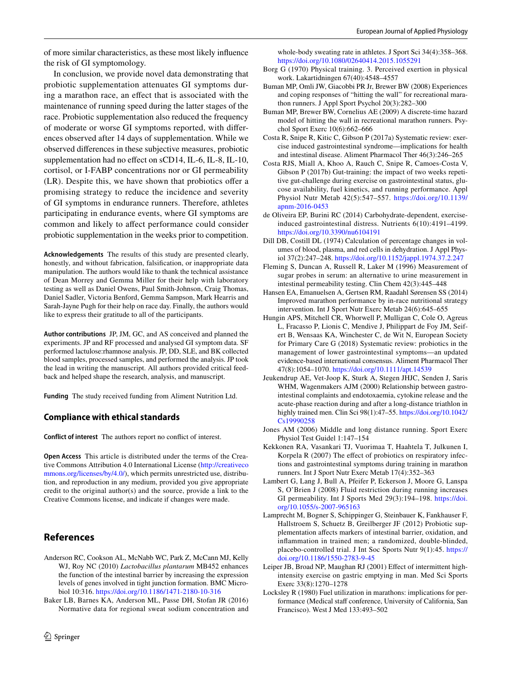of more similar characteristics, as these most likely infuence the risk of GI symptomology.

In conclusion, we provide novel data demonstrating that probiotic supplementation attenuates GI symptoms during a marathon race, an efect that is associated with the maintenance of running speed during the latter stages of the race. Probiotic supplementation also reduced the frequency of moderate or worse GI symptoms reported, with diferences observed after 14 days of supplementation. While we observed diferences in these subjective measures, probiotic supplementation had no effect on sCD14, IL-6, IL-8, IL-10, cortisol, or I-FABP concentrations nor or GI permeability (LR). Despite this, we have shown that probiotics offer a promising strategy to reduce the incidence and severity of GI symptoms in endurance runners. Therefore, athletes participating in endurance events, where GI symptoms are common and likely to afect performance could consider probiotic supplementation in the weeks prior to competition.

**Acknowledgements** The results of this study are presented clearly, honestly, and without fabrication, falsifcation, or inappropriate data manipulation. The authors would like to thank the technical assistance of Dean Morrey and Gemma Miller for their help with laboratory testing as well as Daniel Owens, Paul Smith-Johnson, Craig Thomas, Daniel Sadler, Victoria Benford, Gemma Sampson, Mark Hearris and Sarah-Jayne Pugh for their help on race day. Finally, the authors would like to express their gratitude to all of the participants.

**Author contributions** JP, JM, GC, and AS conceived and planned the experiments. JP and RF processed and analysed GI symptom data. SF performed lactulose:rhamnose analysis. JP, DD, SLE, and BK collected blood samples, processed samples, and performed the analysis. JP took the lead in writing the manuscript. All authors provided critical feedback and helped shape the research, analysis, and manuscript.

**Funding** The study received funding from Aliment Nutrition Ltd.

## **Compliance with ethical standards**

**Conflict of interest** The authors report no confict of interest.

**Open Access** This article is distributed under the terms of the Creative Commons Attribution 4.0 International License [\(http://creativeco](http://creativecommons.org/licenses/by/4.0/) [mmons.org/licenses/by/4.0/](http://creativecommons.org/licenses/by/4.0/)), which permits unrestricted use, distribution, and reproduction in any medium, provided you give appropriate credit to the original author(s) and the source, provide a link to the Creative Commons license, and indicate if changes were made.

## **References**

- <span id="page-9-6"></span>Anderson RC, Cookson AL, McNabb WC, Park Z, McCann MJ, Kelly WJ, Roy NC (2010) *Lactobacillus plantarum* MB452 enhances the function of the intestinal barrier by increasing the expression levels of genes involved in tight junction formation. BMC Microbiol 10:316. <https://doi.org/10.1186/1471-2180-10-316>
- <span id="page-9-17"></span>Baker LB, Barnes KA, Anderson ML, Passe DH, Stofan JR (2016) Normative data for regional sweat sodium concentration and

whole-body sweating rate in athletes. J Sport Sci 34(4):358–368. <https://doi.org/10.1080/02640414.2015.1055291>

- <span id="page-9-9"></span>Borg G (1970) Physical training. 3. Perceived exertion in physical work. Lakartidningen 67(40):4548–4557
- <span id="page-9-15"></span>Buman MP, Omli JW, Giacobbi PR Jr, Brewer BW (2008) Experiences and coping responses of "hitting the wall" for recreational marathon runners. J Appl Sport Psychol 20(3):282–300
- <span id="page-9-10"></span>Buman MP, Brewer BW, Cornelius AE (2009) A discrete-time hazard model of hitting the wall in recreational marathon runners. Psychol Sport Exerc 10(6):662–666
- <span id="page-9-0"></span>Costa R, Snipe R, Kitic C, Gibson P (2017a) Systematic review: exercise induced gastrointestinal syndrome—implications for health and intestinal disease. Aliment Pharmacol Ther 46(3):246–265
- <span id="page-9-3"></span>Costa RJS, Miall A, Khoo A, Rauch C, Snipe R, Camoes-Costa V, Gibson P (2017b) Gut-training: the impact of two weeks repetitive gut-challenge during exercise on gastrointestinal status, glucose availability, fuel kinetics, and running performance. Appl Physiol Nutr Metab 42(5):547–557. [https://doi.org/10.1139/](https://doi.org/10.1139/apnm-2016-0453) [apnm-2016-0453](https://doi.org/10.1139/apnm-2016-0453)
- <span id="page-9-2"></span>de Oliveira EP, Burini RC (2014) Carbohydrate-dependent, exerciseinduced gastrointestinal distress. Nutrients 6(10):4191–4199. <https://doi.org/10.3390/nu6104191>
- <span id="page-9-13"></span>Dill DB, Costill DL (1974) Calculation of percentage changes in volumes of blood, plasma, and red cells in dehydration. J Appl Physiol 37(2):247–248. <https://doi.org/10.1152/jappl.1974.37.2.247>
- <span id="page-9-14"></span>Fleming S, Duncan A, Russell R, Laker M (1996) Measurement of sugar probes in serum: an alternative to urine measurement in intestinal permeability testing. Clin Chem 42(3):445–448
- <span id="page-9-12"></span>Hansen EA, Emanuelsen A, Gertsen RM, Raadahl Sørensen SS (2014) Improved marathon performance by in-race nutritional strategy intervention. Int J Sport Nutr Exerc Metab 24(6):645–655
- <span id="page-9-4"></span>Hungin APS, Mitchell CR, Whorwell P, Mulligan C, Cole O, Agreus L, Fracasso P, Lionis C, Mendive J, Philippart de Foy JM, Seifert B, Wensaas KA, Winchester C, de Wit N, European Society for Primary Care G (2018) Systematic review: probiotics in the management of lower gastrointestinal symptoms—an updated evidence-based international consensus. Aliment Pharmacol Ther 47(8):1054–1070.<https://doi.org/10.1111/apt.14539>
- <span id="page-9-1"></span>Jeukendrup AE, Vet-Joop K, Sturk A, Stegen JHJC, Senden J, Saris WHM, Wagenmakers AJM (2000) Relationship between gastrointestinal complaints and endotoxaemia, cytokine release and the acute-phase reaction during and after a long-distance triathlon in highly trained men. Clin Sci 98(1):47-55. [https://doi.org/10.1042/](https://doi.org/10.1042/Cs19990258) [Cs19990258](https://doi.org/10.1042/Cs19990258)
- <span id="page-9-8"></span>Jones AM (2006) Middle and long distance running. Sport Exerc Physiol Test Guidel 1:147–154
- <span id="page-9-5"></span>Kekkonen RA, Vasankari TJ, Vuorimaa T, Haahtela T, Julkunen I, Korpela R (2007) The effect of probiotics on respiratory infections and gastrointestinal symptoms during training in marathon runners. Int J Sport Nutr Exerc Metab 17(4):352–363
- <span id="page-9-18"></span>Lambert G, Lang J, Bull A, Pfeifer P, Eckerson J, Moore G, Lanspa S, O'Brien J (2008) Fluid restriction during running increases GI permeability. Int J Sports Med 29(3):194–198. [https://doi.](https://doi.org/10.1055/s-2007-965163) [org/10.1055/s-2007-965163](https://doi.org/10.1055/s-2007-965163)
- <span id="page-9-7"></span>Lamprecht M, Bogner S, Schippinger G, Steinbauer K, Fankhauser F, Hallstroem S, Schuetz B, Greilberger JF (2012) Probiotic supplementation afects markers of intestinal barrier, oxidation, and infammation in trained men; a randomized, double-blinded, placebo-controlled trial. J Int Soc Sports Nutr 9(1):45. [https://](https://doi.org/10.1186/1550-2783-9-45) [doi.org/10.1186/1550-2783-9-45](https://doi.org/10.1186/1550-2783-9-45)
- <span id="page-9-16"></span>Leiper JB, Broad NP, Maughan RJ (2001) Effect of intermittent highintensity exercise on gastric emptying in man. Med Sci Sports Exerc 33(8):1270–1278
- <span id="page-9-11"></span>Locksley R (1980) Fuel utilization in marathons: implications for performance (Medical staff conference, University of California, San Francisco). West J Med 133:493–502